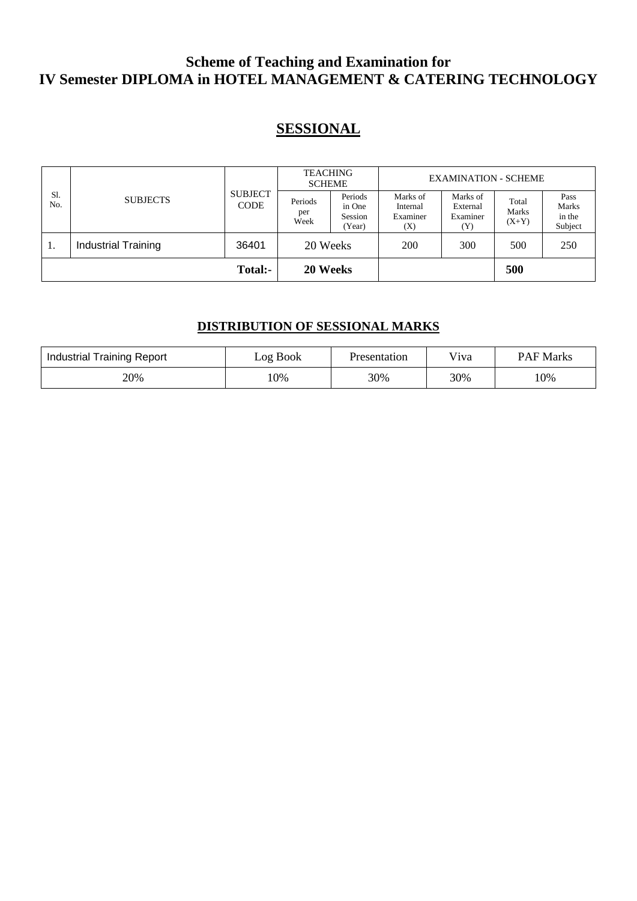### **Scheme of Teaching and Examination for IV Semester DIPLOMA in HOTEL MANAGEMENT & CATERING TECHNOLOGY**

## **SESSIONAL**

| Sl.<br>No. | <b>SUBJECTS</b>            | <b>SUBJECT</b><br><b>CODE</b> | <b>TEACHING</b><br><b>SCHEME</b> |                                        | <b>EXAMINATION - SCHEME</b>             |                                         |                           |                                    |
|------------|----------------------------|-------------------------------|----------------------------------|----------------------------------------|-----------------------------------------|-----------------------------------------|---------------------------|------------------------------------|
|            |                            |                               | Periods<br>per<br>Week           | Periods<br>in One<br>Session<br>(Year) | Marks of<br>Internal<br>Examiner<br>(X) | Marks of<br>External<br>Examiner<br>(Y) | Total<br>Marks<br>$(X+Y)$ | Pass<br>Marks<br>in the<br>Subject |
| 1.         | <b>Industrial Training</b> | 36401                         | 20 Weeks                         |                                        | 200                                     | 300                                     | 500                       | 250                                |
|            |                            | <b>Total:-</b>                | 20 Weeks                         |                                        |                                         |                                         | 500                       |                                    |

### **DISTRIBUTION OF SESSIONAL MARKS**

| Industrial Training Report | Log Book | Presentation | V <sub>i</sub> va | <b>PAF Marks</b> |
|----------------------------|----------|--------------|-------------------|------------------|
| 20%                        | .0%      | 30%          | 30%               | 10%              |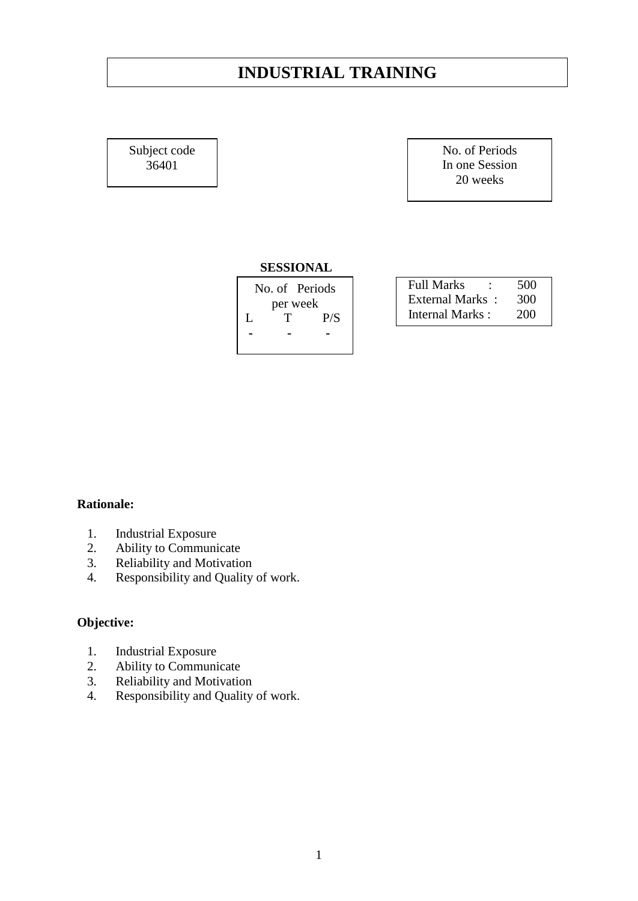### **INDUSTRIAL TRAINING**

Subject code 36401

No. of Periods In one Session 20 weeks

#### **SESSIONAL**

|   |          | No. of Periods |  |  |
|---|----------|----------------|--|--|
|   | per week |                |  |  |
| L | Τ        | P/S            |  |  |
|   |          |                |  |  |
|   |          |                |  |  |

| <b>Full Marks</b> | 500 |
|-------------------|-----|
| External Marks:   | 300 |
| Internal Marks:   | 200 |

#### **Rationale:**

- 1. Industrial Exposure
- 2. Ability to Communicate
- 3. Reliability and Motivation
- 4. Responsibility and Quality of work.

#### **Objective:**

- 1. Industrial Exposure
- 2. Ability to Communicate
- 3. Reliability and Motivation
- 4. Responsibility and Quality of work.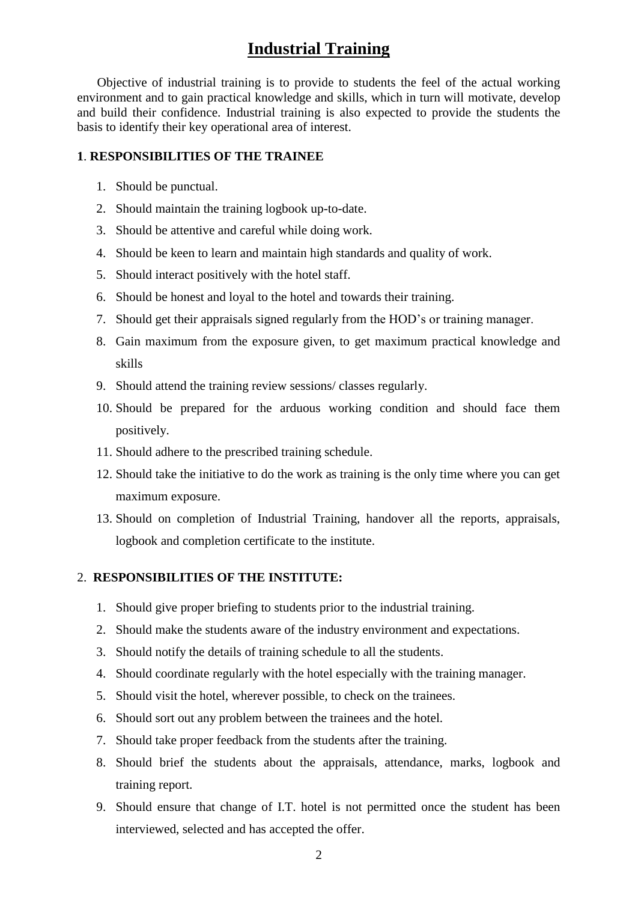### **Industrial Training**

Objective of industrial training is to provide to students the feel of the actual working environment and to gain practical knowledge and skills, which in turn will motivate, develop and build their confidence. Industrial training is also expected to provide the students the basis to identify their key operational area of interest.

#### **1**. **RESPONSIBILITIES OF THE TRAINEE**

- 1. Should be punctual.
- 2. Should maintain the training logbook up-to-date.
- 3. Should be attentive and careful while doing work.
- 4. Should be keen to learn and maintain high standards and quality of work.
- 5. Should interact positively with the hotel staff.
- 6. Should be honest and loyal to the hotel and towards their training.
- 7. Should get their appraisals signed regularly from the HOD's or training manager.
- 8. Gain maximum from the exposure given, to get maximum practical knowledge and skills
- 9. Should attend the training review sessions/ classes regularly.
- 10. Should be prepared for the arduous working condition and should face them positively.
- 11. Should adhere to the prescribed training schedule.
- 12. Should take the initiative to do the work as training is the only time where you can get maximum exposure.
- 13. Should on completion of Industrial Training, handover all the reports, appraisals, logbook and completion certificate to the institute.

#### 2. **RESPONSIBILITIES OF THE INSTITUTE:**

- 1. Should give proper briefing to students prior to the industrial training.
- 2. Should make the students aware of the industry environment and expectations.
- 3. Should notify the details of training schedule to all the students.
- 4. Should coordinate regularly with the hotel especially with the training manager.
- 5. Should visit the hotel, wherever possible, to check on the trainees.
- 6. Should sort out any problem between the trainees and the hotel.
- 7. Should take proper feedback from the students after the training.
- 8. Should brief the students about the appraisals, attendance, marks, logbook and training report.
- 9. Should ensure that change of I.T. hotel is not permitted once the student has been interviewed, selected and has accepted the offer.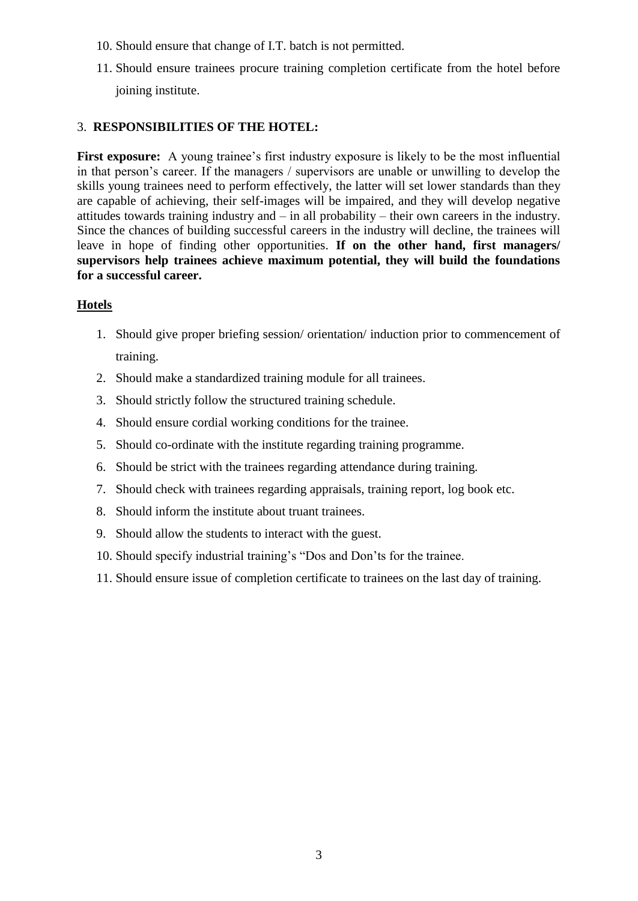- 10. Should ensure that change of I.T. batch is not permitted.
- 11. Should ensure trainees procure training completion certificate from the hotel before joining institute.

#### 3. **RESPONSIBILITIES OF THE HOTEL:**

First exposure: A young trainee's first industry exposure is likely to be the most influential in that person's career. If the managers / supervisors are unable or unwilling to develop the skills young trainees need to perform effectively, the latter will set lower standards than they are capable of achieving, their self-images will be impaired, and they will develop negative attitudes towards training industry and – in all probability – their own careers in the industry. Since the chances of building successful careers in the industry will decline, the trainees will leave in hope of finding other opportunities. **If on the other hand, first managers/ supervisors help trainees achieve maximum potential, they will build the foundations for a successful career.**

#### **Hotels**

- 1. Should give proper briefing session/ orientation/ induction prior to commencement of training.
- 2. Should make a standardized training module for all trainees.
- 3. Should strictly follow the structured training schedule.
- 4. Should ensure cordial working conditions for the trainee.
- 5. Should co-ordinate with the institute regarding training programme.
- 6. Should be strict with the trainees regarding attendance during training.
- 7. Should check with trainees regarding appraisals, training report, log book etc.
- 8. Should inform the institute about truant trainees.
- 9. Should allow the students to interact with the guest.
- 10. Should specify industrial training's "Dos and Don'ts for the trainee.
- 11. Should ensure issue of completion certificate to trainees on the last day of training.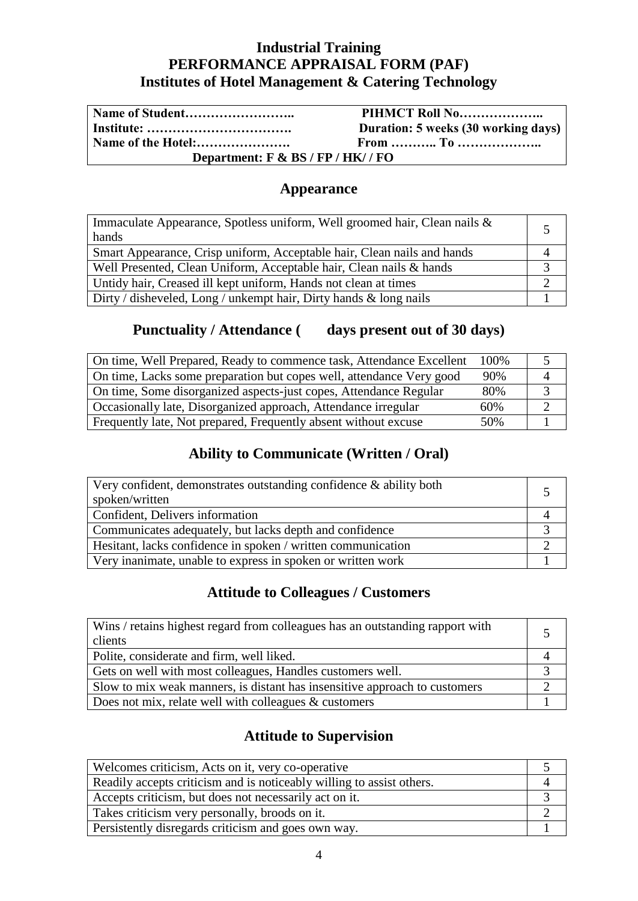### **Industrial Training PERFORMANCE APPRAISAL FORM (PAF) Institutes of Hotel Management & Catering Technology**

|                                     | PIHMCT Roll No                      |  |
|-------------------------------------|-------------------------------------|--|
|                                     | Duration: 5 weeks (30 working days) |  |
| Name of the Hotel:                  |                                     |  |
| Department: $F & BS / FP / HK / FO$ |                                     |  |

### **Appearance**

| Immaculate Appearance, Spotless uniform, Well groomed hair, Clean nails & |  |
|---------------------------------------------------------------------------|--|
| hands                                                                     |  |
| Smart Appearance, Crisp uniform, Acceptable hair, Clean nails and hands   |  |
| Well Presented, Clean Uniform, Acceptable hair, Clean nails & hands       |  |
| Untidy hair, Creased ill kept uniform, Hands not clean at times           |  |
| Dirty / disheveled, Long / unkempt hair, Dirty hands $\&$ long nails      |  |

## Punctuality / Attendance ( days present out of 30 days)

| On time, Well Prepared, Ready to commence task, Attendance Excellent | 100\% |  |
|----------------------------------------------------------------------|-------|--|
| On time, Lacks some preparation but copes well, attendance Very good | 90%   |  |
| On time, Some disorganized aspects-just copes, Attendance Regular    | 80%   |  |
| Occasionally late, Disorganized approach, Attendance irregular       | 60%   |  |
| Frequently late, Not prepared, Frequently absent without excuse      | 50%   |  |

## **Ability to Communicate (Written / Oral)**

| Very confident, demonstrates outstanding confidence & ability both<br>spoken/written |  |
|--------------------------------------------------------------------------------------|--|
| Confident, Delivers information                                                      |  |
| Communicates adequately, but lacks depth and confidence                              |  |
| Hesitant, lacks confidence in spoken / written communication                         |  |
| Very inanimate, unable to express in spoken or written work                          |  |

### **Attitude to Colleagues / Customers**

| Wins / retains highest regard from colleagues has an outstanding rapport with<br>clients |  |
|------------------------------------------------------------------------------------------|--|
| Polite, considerate and firm, well liked.                                                |  |
| Gets on well with most colleagues, Handles customers well.                               |  |
| Slow to mix weak manners, is distant has insensitive approach to customers               |  |
| Does not mix, relate well with colleagues $\&$ customers                                 |  |

### **Attitude to Supervision**

| Welcomes criticism, Acts on it, very co-operative                     |  |
|-----------------------------------------------------------------------|--|
| Readily accepts criticism and is noticeably willing to assist others. |  |
| Accepts criticism, but does not necessarily act on it.                |  |
| Takes criticism very personally, broods on it.                        |  |
| Persistently disregards criticism and goes own way.                   |  |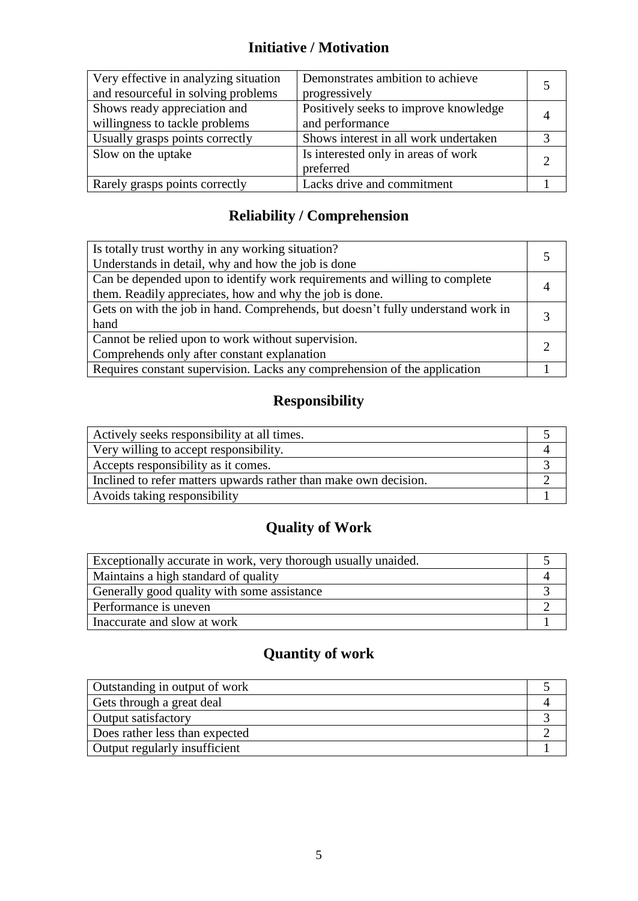## **Initiative / Motivation**

| Very effective in analyzing situation<br>and resourceful in solving problems | Demonstrates ambition to achieve<br>progressively        |  |
|------------------------------------------------------------------------------|----------------------------------------------------------|--|
| Shows ready appreciation and<br>willingness to tackle problems               | Positively seeks to improve knowledge<br>and performance |  |
| Usually grasps points correctly                                              | Shows interest in all work undertaken                    |  |
| Slow on the uptake                                                           | Is interested only in areas of work<br>preferred         |  |
| Rarely grasps points correctly                                               | Lacks drive and commitment                               |  |

## **Reliability / Comprehension**

| Is totally trust worthy in any working situation?<br>Understands in detail, why and how the job is done                               |  |
|---------------------------------------------------------------------------------------------------------------------------------------|--|
| Can be depended upon to identify work requirements and willing to complete<br>them. Readily appreciates, how and why the job is done. |  |
| Gets on with the job in hand. Comprehends, but doesn't fully understand work in<br>hand                                               |  |
| Cannot be relied upon to work without supervision.<br>Comprehends only after constant explanation                                     |  |
| Requires constant supervision. Lacks any comprehension of the application                                                             |  |

## **Responsibility**

| Actively seeks responsibility at all times.                      |  |
|------------------------------------------------------------------|--|
| Very willing to accept responsibility.                           |  |
| Accepts responsibility as it comes.                              |  |
| Inclined to refer matters upwards rather than make own decision. |  |
| Avoids taking responsibility                                     |  |

# **Quality of Work**

| Exceptionally accurate in work, very thorough usually unaided. |  |
|----------------------------------------------------------------|--|
| Maintains a high standard of quality                           |  |
| Generally good quality with some assistance                    |  |
| Performance is uneven                                          |  |
| Inaccurate and slow at work                                    |  |

# **Quantity of work**

| Outstanding in output of work  |  |
|--------------------------------|--|
| Gets through a great deal      |  |
| <b>Output satisfactory</b>     |  |
| Does rather less than expected |  |
| Output regularly insufficient  |  |